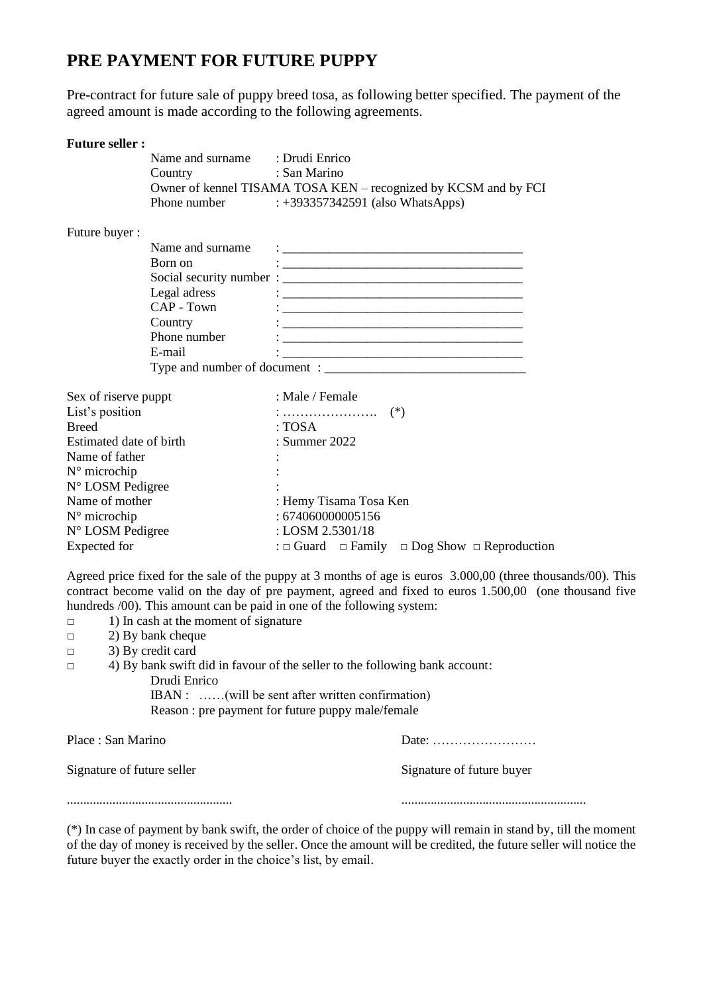# **PRE PAYMENT FOR FUTURE PUPPY**

Pre-contract for future sale of puppy breed tosa, as following better specified. The payment of the agreed amount is made according to the following agreements.

## **Future seller :**

|                         | Name and surname: : Drudi Enrico |                                                                                                 |
|-------------------------|----------------------------------|-------------------------------------------------------------------------------------------------|
|                         | Country : San Marino             |                                                                                                 |
|                         |                                  | Owner of kennel TISAMA TOSA KEN – recognized by KCSM and by FCI                                 |
|                         |                                  | Phone number : +393357342591 (also WhatsApps)                                                   |
| Future buyer:           |                                  |                                                                                                 |
|                         | Name and surname                 |                                                                                                 |
|                         | Born on                          |                                                                                                 |
|                         |                                  |                                                                                                 |
|                         | Legal adress                     |                                                                                                 |
|                         | $CAP$ - Town                     |                                                                                                 |
|                         | Country                          |                                                                                                 |
|                         | Phone number                     |                                                                                                 |
|                         | E-mail                           |                                                                                                 |
|                         |                                  |                                                                                                 |
| Sex of riserve puppt    |                                  | : Male / Female                                                                                 |
| List's position         |                                  |                                                                                                 |
| <b>Breed</b>            |                                  | : TOSA                                                                                          |
| Estimated date of birth |                                  | : Summer $2022$                                                                                 |
| Name of father          |                                  |                                                                                                 |
| N° microchip            |                                  |                                                                                                 |
| N° LOSM Pedigree        |                                  |                                                                                                 |
| Name of mother          |                                  | : Hemy Tisama Tosa Ken                                                                          |
| N° microchip            |                                  | : 674060000005156                                                                               |
| N° LOSM Pedigree        |                                  | : LOSM 2.5301/18                                                                                |
| <b>Expected</b> for     |                                  | : $\Box$ Guard $\Box$ Family $\Box$ Dog Show $\Box$ Reproduction                                |
|                         |                                  | Agreed price fixed for the sale of the puppy at 3 months of age is euros 3,000,00 (three thousa |

Agreed price fixed for the sale of the puppy at 3 months of age is euros 3.000,00 (three thousands/00). This contract become valid on the day of pre payment, agreed and fixed to euros 1.500,00 (one thousand five hundreds  $(00)$ . This amount can be paid in one of the following system:

□ 1) In cash at the moment of signature

□ 2) By bank cheque

□ 3) By credit card

| 4) By bank swift did in favour of the seller to the following bank account: |
|-----------------------------------------------------------------------------|
| Drudi Enrico                                                                |
| IBAN : (will be sent after written confirmation)                            |
| Reason: pre payment for future puppy male/female                            |
|                                                                             |

| Place : San Marino         |                           |
|----------------------------|---------------------------|
| Signature of future seller | Signature of future buyer |
|                            |                           |

(\*) In case of payment by bank swift, the order of choice of the puppy will remain in stand by, till the moment of the day of money is received by the seller. Once the amount will be credited, the future seller will notice the future buyer the exactly order in the choice's list, by email.